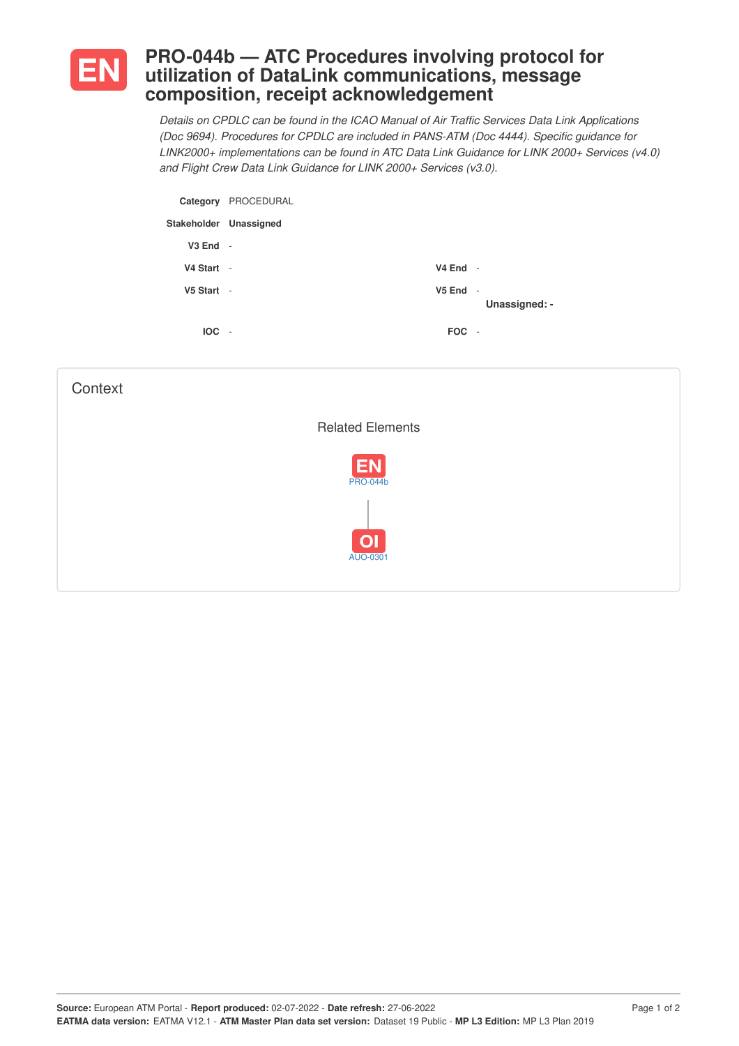

## **PRO-044b — ATC Procedures involving protocol for utilization of DataLink communications, message composition, receipt acknowledgement**

*Details on CPDLC can be found in the ICAO Manual of Air Traffic Services Data Link Applications (Doc 9694). Procedures for CPDLC are included in PANS-ATM (Doc 4444). Specific guidance for LINK2000+ implementations can be found in ATC Data Link Guidance for LINK 2000+ Services (v4.0) and Flight Crew Data Link Guidance for LINK 2000+ Services (v3.0).*

|                        | Category PROCEDURAL      |              |               |
|------------------------|--------------------------|--------------|---------------|
| Stakeholder Unassigned |                          |              |               |
| $V3$ End $-$           |                          |              |               |
| V4 Start -             |                          | $V4$ End -   |               |
| V5 Start -             |                          | $V5$ End $-$ | Unassigned: - |
| <b>IOC</b>             | $\overline{\phantom{a}}$ | <b>FOC</b>   | $\sim$        |